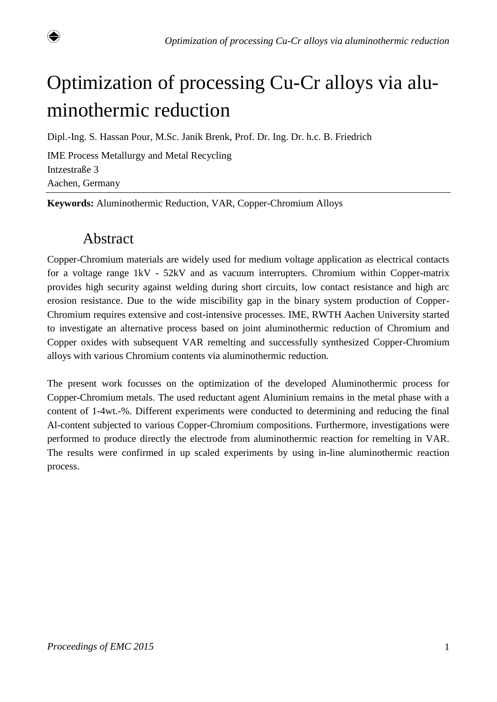

# Optimization of processing Cu-Cr alloys via aluminothermic reduction

Dipl.-Ing. S. Hassan Pour, M.Sc. Janik Brenk, Prof. Dr. Ing. Dr. h.c. B. Friedrich

IME Process Metallurgy and Metal Recycling Intzestraße 3 Aachen, Germany

**Keywords:** Aluminothermic Reduction, VAR, Copper-Chromium Alloys

#### Abstract

Copper-Chromium materials are widely used for medium voltage application as electrical contacts for a voltage range 1kV - 52kV and as vacuum interrupters. Chromium within Copper-matrix provides high security against welding during short circuits, low contact resistance and high arc erosion resistance. Due to the wide miscibility gap in the binary system production of Copper-Chromium requires extensive and cost-intensive processes. IME, RWTH Aachen University started to investigate an alternative process based on joint aluminothermic reduction of Chromium and Copper oxides with subsequent VAR remelting and successfully synthesized Copper-Chromium alloys with various Chromium contents via aluminothermic reduction.

The present work focusses on the optimization of the developed Aluminothermic process for Copper-Chromium metals. The used reductant agent Aluminium remains in the metal phase with a content of 1-4wt.-%. Different experiments were conducted to determining and reducing the final Al-content subjected to various Copper-Chromium compositions. Furthermore, investigations were performed to produce directly the electrode from aluminothermic reaction for remelting in VAR. The results were confirmed in up scaled experiments by using in-line aluminothermic reaction process.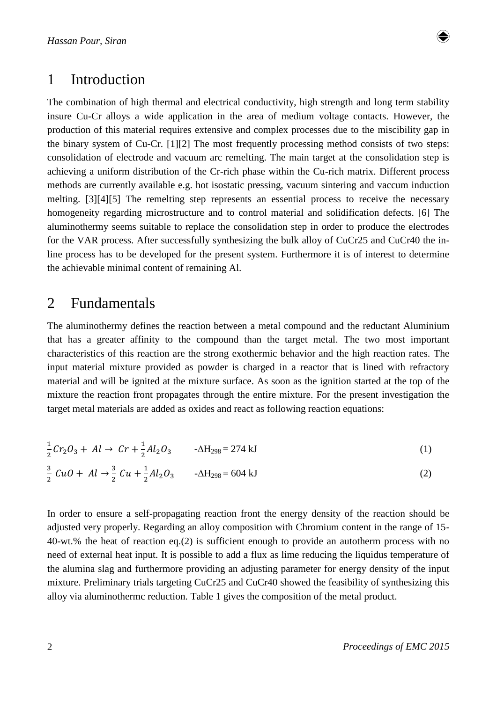

#### 1 Introduction

The combination of high thermal and electrical conductivity, high strength and long term stability insure Cu-Cr alloys a wide application in the area of medium voltage contacts. However, the production of this material requires extensive and complex processes due to the miscibility gap in the binary system of Cu-Cr. [1][2] The most frequently processing method consists of two steps: consolidation of electrode and vacuum arc remelting. The main target at the consolidation step is achieving a uniform distribution of the Cr-rich phase within the Cu-rich matrix. Different process methods are currently available e.g. hot isostatic pressing, vacuum sintering and vaccum induction melting. [3][4][5] The remelting step represents an essential process to receive the necessary homogeneity regarding microstructure and to control material and solidification defects. [6] The aluminothermy seems suitable to replace the consolidation step in order to produce the electrodes for the VAR process. After successfully synthesizing the bulk alloy of CuCr25 and CuCr40 the inline process has to be developed for the present system. Furthermore it is of interest to determine the achievable minimal content of remaining Al.

#### 2 Fundamentals

The aluminothermy defines the reaction between a metal compound and the reductant Aluminium that has a greater affinity to the compound than the target metal. The two most important characteristics of this reaction are the strong exothermic behavior and the high reaction rates. The input material mixture provided as powder is charged in a reactor that is lined with refractory material and will be ignited at the mixture surface. As soon as the ignition started at the top of the mixture the reaction front propagates through the entire mixture. For the present investigation the target metal materials are added as oxides and react as following reaction equations:

$$
\frac{1}{2}Cr_2O_3 + Al \to Cr + \frac{1}{2}Al_2O_3 \qquad -\Delta H_{298} = 274 \text{ kJ}
$$
\n(1)\n
$$
\frac{3}{2}CuO + Al \to \frac{3}{2}Cu + \frac{1}{2}Al_2O_3 \qquad -\Delta H_{298} = 604 \text{ kJ}
$$
\n(2)

In order to ensure a self-propagating reaction front the energy density of the reaction should be adjusted very properly. Regarding an alloy composition with Chromium content in the range of 15- 40-wt.% the heat of reaction eq.(2) is sufficient enough to provide an autotherm process with no need of external heat input. It is possible to add a flux as lime reducing the liquidus temperature of the alumina slag and furthermore providing an adjusting parameter for energy density of the input mixture. Preliminary trials targeting CuCr25 and CuCr40 showed the feasibility of synthesizing this alloy via aluminothermc reduction. Table 1 gives the composition of the metal product.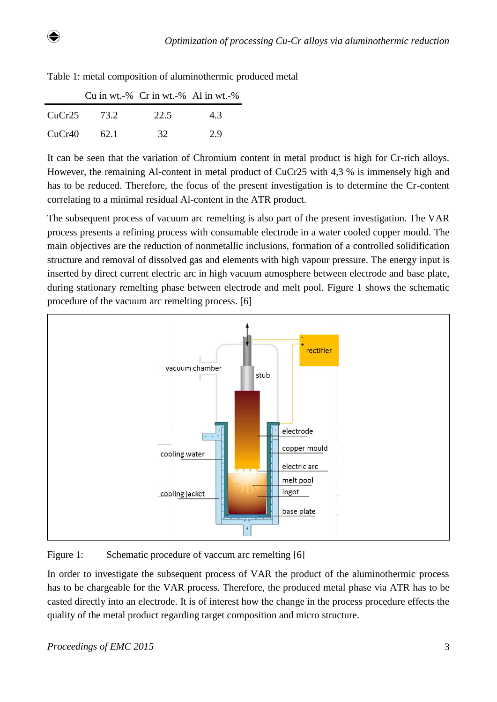| ۰,<br>٠<br>٠ |
|--------------|

|        |               | Cu in wt.-% $Cr$ in wt.-% Al in wt.-% |     |
|--------|---------------|---------------------------------------|-----|
|        | $CuCr25$ 73.2 | 22.5                                  | 4.3 |
| CuCr40 | 62.1          | 32                                    | 29  |

Table 1: metal composition of aluminothermic produced metal

It can be seen that the variation of Chromium content in metal product is high for Cr-rich alloys. However, the remaining Al-content in metal product of CuCr25 with 4,3 % is immensely high and has to be reduced. Therefore, the focus of the present investigation is to determine the Cr-content correlating to a minimal residual Al-content in the ATR product.

The subsequent process of vacuum arc remelting is also part of the present investigation. The VAR process presents a refining process with consumable electrode in a water cooled copper mould. The main objectives are the reduction of nonmetallic inclusions, formation of a controlled solidification structure and removal of dissolved gas and elements with high vapour pressure. The energy input is inserted by direct current electric arc in high vacuum atmosphere between electrode and base plate, during stationary remelting phase between electrode and melt pool. Figure 1 shows the schematic procedure of the vacuum arc remelting process. [6]



Figure 1: Schematic procedure of vaccum arc remelting [6]

In order to investigate the subsequent process of VAR the product of the aluminothermic process has to be chargeable for the VAR process. Therefore, the produced metal phase via ATR has to be casted directly into an electrode. It is of interest how the change in the process procedure effects the quality of the metal product regarding target composition and micro structure.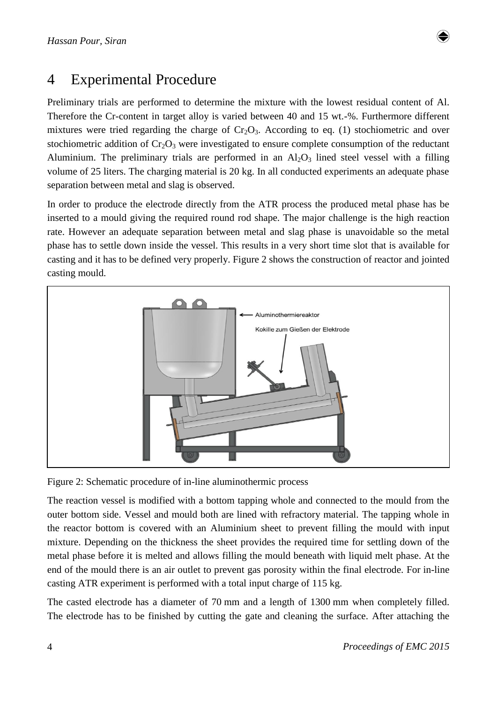# 4 Experimental Procedure

Preliminary trials are performed to determine the mixture with the lowest residual content of Al. Therefore the Cr-content in target alloy is varied between 40 and 15 wt.-%. Furthermore different mixtures were tried regarding the charge of  $Cr_2O_3$ . According to eq. (1) stochiometric and over stochiometric addition of  $Cr_2O_3$  were investigated to ensure complete consumption of the reductant Aluminium. The preliminary trials are performed in an  $Al_2O_3$  lined steel vessel with a filling volume of 25 liters. The charging material is 20 kg. In all conducted experiments an adequate phase separation between metal and slag is observed.

In order to produce the electrode directly from the ATR process the produced metal phase has be inserted to a mould giving the required round rod shape. The major challenge is the high reaction rate. However an adequate separation between metal and slag phase is unavoidable so the metal phase has to settle down inside the vessel. This results in a very short time slot that is available for casting and it has to be defined very properly. Figure 2 shows the construction of reactor and jointed casting mould.



Figure 2: Schematic procedure of in-line aluminothermic process

The reaction vessel is modified with a bottom tapping whole and connected to the mould from the outer bottom side. Vessel and mould both are lined with refractory material. The tapping whole in the reactor bottom is covered with an Aluminium sheet to prevent filling the mould with input mixture. Depending on the thickness the sheet provides the required time for settling down of the metal phase before it is melted and allows filling the mould beneath with liquid melt phase. At the end of the mould there is an air outlet to prevent gas porosity within the final electrode. For in-line casting ATR experiment is performed with a total input charge of 115 kg.

The casted electrode has a diameter of 70 mm and a length of 1300 mm when completely filled. The electrode has to be finished by cutting the gate and cleaning the surface. After attaching the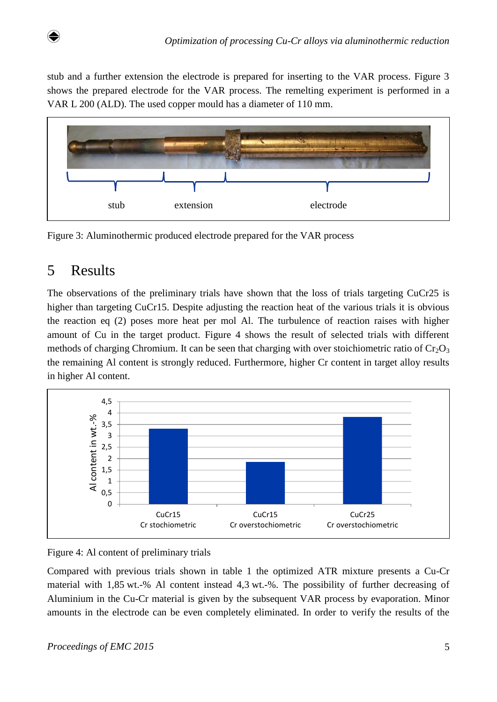stub and a further extension the electrode is prepared for inserting to the VAR process. Figure 3 shows the prepared electrode for the VAR process. The remelting experiment is performed in a VAR L 200 (ALD). The used copper mould has a diameter of 110 mm.





## 5 Results

The observations of the preliminary trials have shown that the loss of trials targeting CuCr25 is higher than targeting CuCr15. Despite adjusting the reaction heat of the various trials it is obvious the reaction eq (2) poses more heat per mol Al. The turbulence of reaction raises with higher amount of Cu in the target product. Figure 4 shows the result of selected trials with different methods of charging Chromium. It can be seen that charging with over stoichiometric ratio of  $Cr_2O_3$ the remaining Al content is strongly reduced. Furthermore, higher Cr content in target alloy results in higher Al content.





Compared with previous trials shown in table 1 the optimized ATR mixture presents a Cu-Cr material with 1,85 wt.-% Al content instead 4,3 wt.-%. The possibility of further decreasing of Aluminium in the Cu-Cr material is given by the subsequent VAR process by evaporation. Minor amounts in the electrode can be even completely eliminated. In order to verify the results of the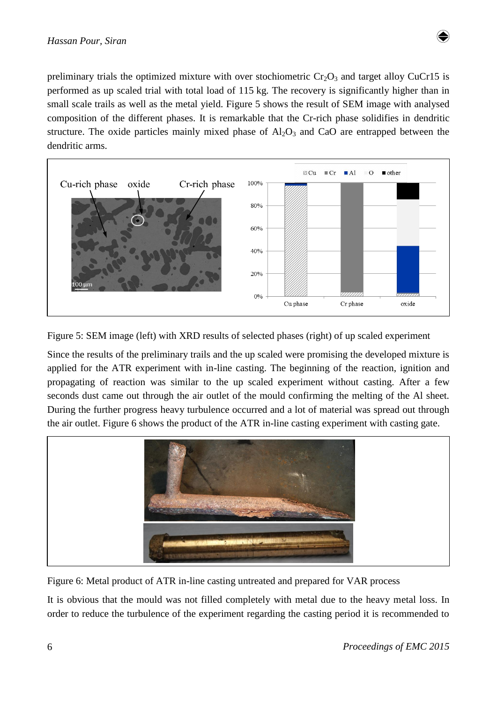

preliminary trials the optimized mixture with over stochiometric  $Cr_2O_3$  and target alloy CuCr15 is performed as up scaled trial with total load of 115 kg. The recovery is significantly higher than in small scale trails as well as the metal yield. Figure 5 shows the result of SEM image with analysed composition of the different phases. It is remarkable that the Cr-rich phase solidifies in dendritic structure. The oxide particles mainly mixed phase of  $Al_2O_3$  and CaO are entrapped between the dendritic arms.



Figure 5: SEM image (left) with XRD results of selected phases (right) of up scaled experiment

Since the results of the preliminary trails and the up scaled were promising the developed mixture is applied for the ATR experiment with in-line casting. The beginning of the reaction, ignition and propagating of reaction was similar to the up scaled experiment without casting. After a few seconds dust came out through the air outlet of the mould confirming the melting of the Al sheet. During the further progress heavy turbulence occurred and a lot of material was spread out through the air outlet. Figure 6 shows the product of the ATR in-line casting experiment with casting gate.



Figure 6: Metal product of ATR in-line casting untreated and prepared for VAR process

It is obvious that the mould was not filled completely with metal due to the heavy metal loss. In order to reduce the turbulence of the experiment regarding the casting period it is recommended to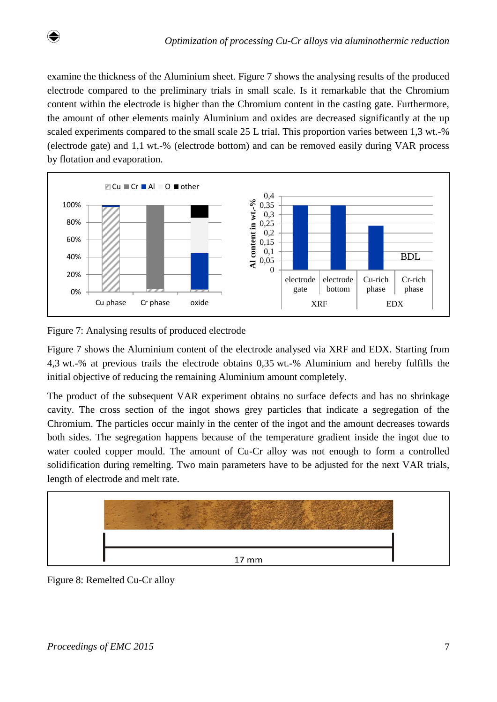examine the thickness of the Aluminium sheet. Figure 7 shows the analysing results of the produced electrode compared to the preliminary trials in small scale. Is it remarkable that the Chromium content within the electrode is higher than the Chromium content in the casting gate. Furthermore, the amount of other elements mainly Aluminium and oxides are decreased significantly at the up scaled experiments compared to the small scale 25 L trial. This proportion varies between 1,3 wt.-% (electrode gate) and 1,1 wt.-% (electrode bottom) and can be removed easily during VAR process by flotation and evaporation.



Figure 7: Analysing results of produced electrode

Figure 7 shows the Aluminium content of the electrode analysed via XRF and EDX. Starting from 4,3 wt.-% at previous trails the electrode obtains 0,35 wt.-% Aluminium and hereby fulfills the initial objective of reducing the remaining Aluminium amount completely.

The product of the subsequent VAR experiment obtains no surface defects and has no shrinkage cavity. The cross section of the ingot shows grey particles that indicate a segregation of the Chromium. The particles occur mainly in the center of the ingot and the amount decreases towards both sides. The segregation happens because of the temperature gradient inside the ingot due to water cooled copper mould. The amount of Cu-Cr alloy was not enough to form a controlled solidification during remelting. Two main parameters have to be adjusted for the next VAR trials, length of electrode and melt rate.



Figure 8: Remelted Cu-Cr alloy